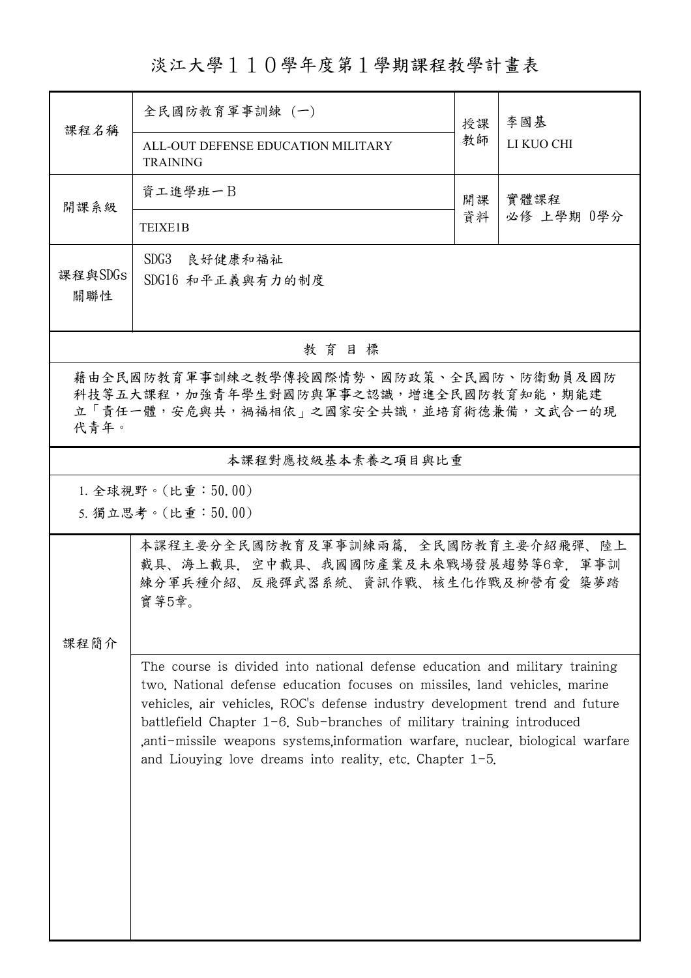淡江大學110學年度第1學期課程教學計畫表

|                                                                                                                                      | 全民國防教育軍事訓練 (一)                                                                                                                                                                                                                                                                                                                                                                                                                                                             |          | 李國基        |  |  |  |  |
|--------------------------------------------------------------------------------------------------------------------------------------|----------------------------------------------------------------------------------------------------------------------------------------------------------------------------------------------------------------------------------------------------------------------------------------------------------------------------------------------------------------------------------------------------------------------------------------------------------------------------|----------|------------|--|--|--|--|
| 課程名稱                                                                                                                                 | ALL-OUT DEFENSE EDUCATION MILITARY<br><b>TRAINING</b>                                                                                                                                                                                                                                                                                                                                                                                                                      | 授課<br>教師 | LI KUO CHI |  |  |  |  |
| 開課系級                                                                                                                                 | 資工進學班一B                                                                                                                                                                                                                                                                                                                                                                                                                                                                    |          | 實體課程       |  |  |  |  |
|                                                                                                                                      | <b>TEIXE1B</b>                                                                                                                                                                                                                                                                                                                                                                                                                                                             | 資料       | 必修 上學期 0學分 |  |  |  |  |
| 課程與SDGs<br>關聯性                                                                                                                       | SDG3 良好健康和福祉<br>SDG16 和平正義與有力的制度                                                                                                                                                                                                                                                                                                                                                                                                                                           |          |            |  |  |  |  |
| 教育目標                                                                                                                                 |                                                                                                                                                                                                                                                                                                                                                                                                                                                                            |          |            |  |  |  |  |
| 藉由全民國防教育軍事訓練之教學傳授國際情勢、國防政策、全民國防、防衛動員及國防<br>科技等五大課程,加強青年學生對國防與軍事之認識,增進全民國防教育知能,期能建<br>立「責任一體,安危與共,禍福相依」之國家安全共識,並培育術德兼備,文武合一的現<br>代青年。 |                                                                                                                                                                                                                                                                                                                                                                                                                                                                            |          |            |  |  |  |  |
| 本課程對應校級基本素養之項目與比重                                                                                                                    |                                                                                                                                                                                                                                                                                                                                                                                                                                                                            |          |            |  |  |  |  |
|                                                                                                                                      | 1. 全球視野。(比重:50.00)<br>5. 獨立思考。(比重:50.00)                                                                                                                                                                                                                                                                                                                                                                                                                                   |          |            |  |  |  |  |
|                                                                                                                                      |                                                                                                                                                                                                                                                                                                                                                                                                                                                                            |          |            |  |  |  |  |
|                                                                                                                                      | 本課程主要分全民國防教育及軍事訓練兩篇,全民國防教育主要介紹飛彈、陸上<br>載具、海上載具,空中載具、我國國防產業及未來戰場發展趨勢等6章,軍事訓<br>練分軍兵種介紹、反飛彈武器系統、資訊作戰、核生化作戰及柳營有愛 築夢踏<br>實等5章。                                                                                                                                                                                                                                                                                                                                                 |          |            |  |  |  |  |
| 課程簡介                                                                                                                                 |                                                                                                                                                                                                                                                                                                                                                                                                                                                                            |          |            |  |  |  |  |
|                                                                                                                                      | The course is divided into national defense education and military training<br>two. National defense education focuses on missiles, land vehicles, marine<br>vehicles, air vehicles, ROC's defense industry development trend and future<br>battlefield Chapter $1-\theta$ . Sub-branches of military training introduced<br>anti-missile weapons systems, information warfare, nuclear, biological warfare<br>and Liouying love dreams into reality, etc. Chapter $1-5$ . |          |            |  |  |  |  |
|                                                                                                                                      |                                                                                                                                                                                                                                                                                                                                                                                                                                                                            |          |            |  |  |  |  |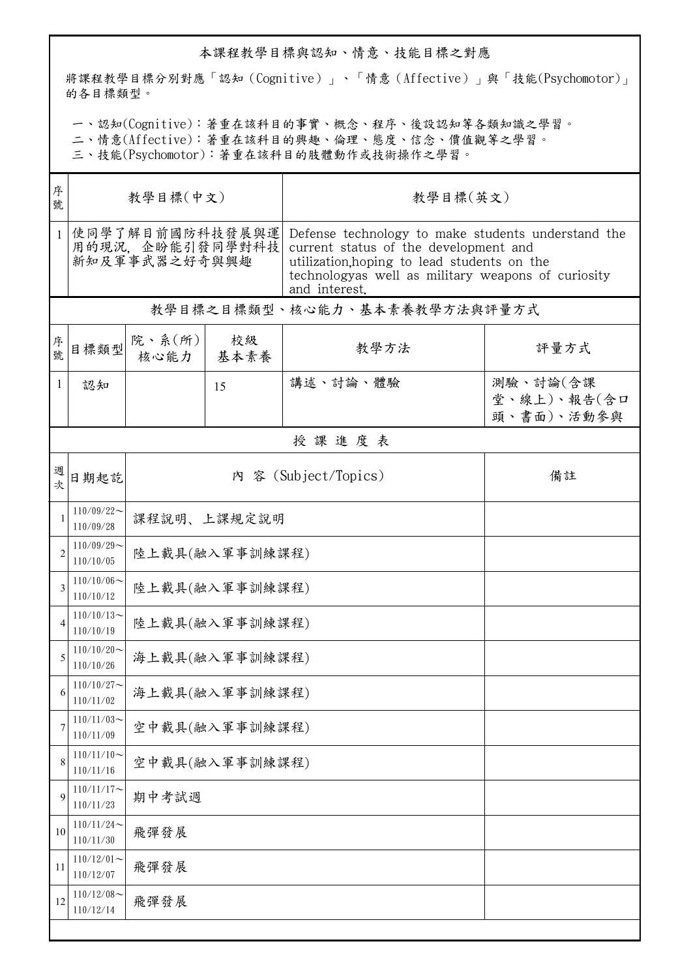## 本課程教學目標與認知、情意、技能目標之對應

將課程教學目標分別對應「認知(Cognitive)」、「情意(Affective)」與「技能(Psychomotor)」 的各目標類型。

一、認知(Cognitive):著重在該科目的事實、概念、程序、後設認知等各類知識之學習。

二、情意(Affective):著重在該科目的興趣、倫理、態度、信念、價值觀等之學習。

三、技能(Psychomotor):著重在該科目的肢體動作或技術操作之學習。

| 序<br>號         | 教學目標(中文)                                             |                            |            | 教學目標(英文)                                                                                                                                                                                                          |                                       |  |  |  |  |
|----------------|------------------------------------------------------|----------------------------|------------|-------------------------------------------------------------------------------------------------------------------------------------------------------------------------------------------------------------------|---------------------------------------|--|--|--|--|
| 1              | 使同學了解目前國防科技發展與運<br>用的現況, 企盼能引發同學對科技<br>新知及軍事武器之好奇與興趣 |                            |            | Defense technology to make students understand the<br>current status of the development and<br>utilization, hoping to lead students on the<br>technologyas well as military weapons of curiosity<br>and interest. |                                       |  |  |  |  |
|                | 教學目標之目標類型、核心能力、基本素養教學方法與評量方式                         |                            |            |                                                                                                                                                                                                                   |                                       |  |  |  |  |
| 序號             | 目標類型                                                 | 院、系(所)<br>核心能力             | 校級<br>基本素養 | 教學方法                                                                                                                                                                                                              | 評量方式                                  |  |  |  |  |
| 1              | 認知                                                   |                            | 15         | 講述、討論、體驗                                                                                                                                                                                                          | 測驗、討論(含課<br>堂、線上)、報告(含口<br>頭、書面)、活動參與 |  |  |  |  |
|                | 授課進度表                                                |                            |            |                                                                                                                                                                                                                   |                                       |  |  |  |  |
| 週次             | 日期起訖                                                 | 內 容 (Subject/Topics)<br>備註 |            |                                                                                                                                                                                                                   |                                       |  |  |  |  |
|                | $110/09/22$ ~<br>110/09/28                           | 課程說明、上課規定說明                |            |                                                                                                                                                                                                                   |                                       |  |  |  |  |
| $\overline{2}$ | $110/09/29$ ~<br>110/10/05                           | 陸上載具(融入軍事訓練課程)             |            |                                                                                                                                                                                                                   |                                       |  |  |  |  |
| 3              | $110/10/06$ ~<br>110/10/12                           | 陸上載具(融入軍事訓練課程)             |            |                                                                                                                                                                                                                   |                                       |  |  |  |  |
| $\overline{A}$ | $110/10/13$ ~<br>110/10/19                           | 陸上載具(融入軍事訓練課程)             |            |                                                                                                                                                                                                                   |                                       |  |  |  |  |
| 5              | $110/10/20$ ~<br>110/10/26                           | 海上載具(融入軍事訓練課程)             |            |                                                                                                                                                                                                                   |                                       |  |  |  |  |
| b              | $110/10/27$ ~<br>110/11/02                           | 海上載具(融入軍事訓練課程)             |            |                                                                                                                                                                                                                   |                                       |  |  |  |  |
| 7              | $110/11/03$ ~<br>110/11/09                           | 空中載具(融入軍事訓練課程)             |            |                                                                                                                                                                                                                   |                                       |  |  |  |  |
| 8              | $110/11/10$ ~<br>110/11/16                           | 空中載具(融入軍事訓練課程)             |            |                                                                                                                                                                                                                   |                                       |  |  |  |  |
| 9              | $110/11/17$ ~<br>110/11/23                           | 期中考試週                      |            |                                                                                                                                                                                                                   |                                       |  |  |  |  |
| 10             | $110/11/24$ ~<br>110/11/30                           | 飛彈發展                       |            |                                                                                                                                                                                                                   |                                       |  |  |  |  |
| 11             | $110/12/01$ ~<br>110/12/07                           | 飛彈發展                       |            |                                                                                                                                                                                                                   |                                       |  |  |  |  |
| 12             | $110/12/08$ ~<br>110/12/14                           | 飛彈發展                       |            |                                                                                                                                                                                                                   |                                       |  |  |  |  |
|                |                                                      |                            |            |                                                                                                                                                                                                                   |                                       |  |  |  |  |